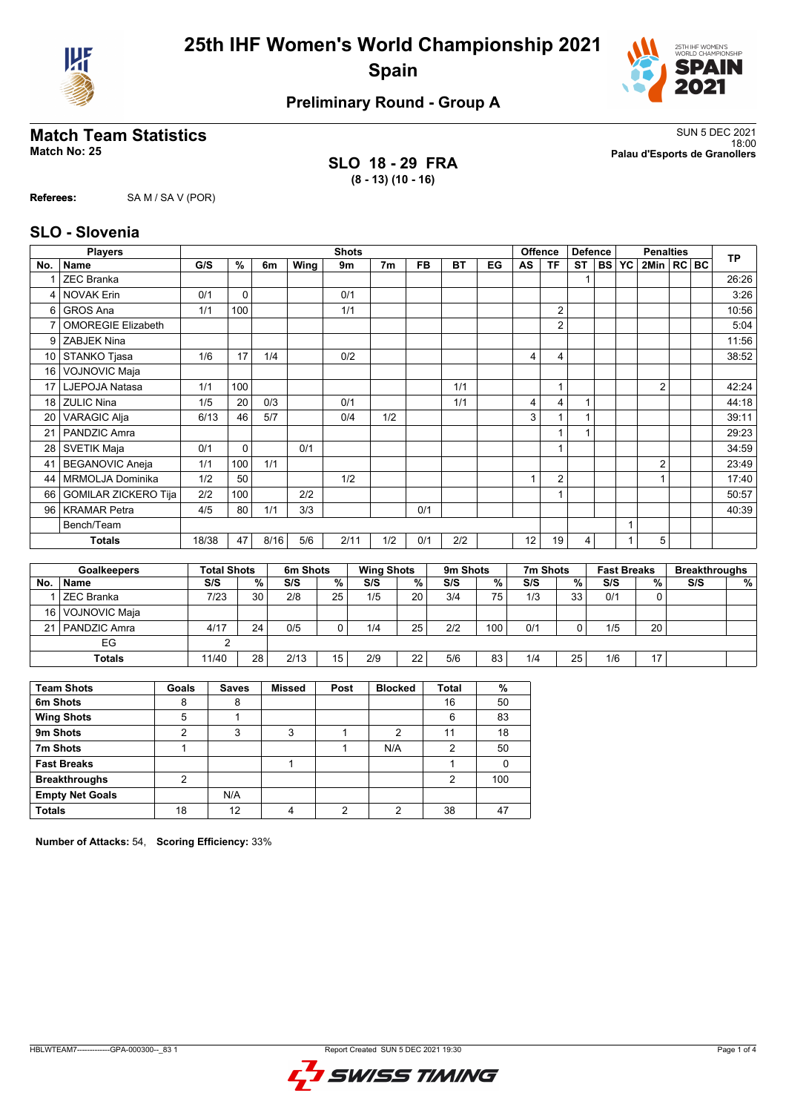



## **Preliminary Round - Group A**

**SLO 18 - 29 FRA (8 - 13) (10 - 16)**

**Match Team Statistics** SUN 5 DEC 2021 18:00 **Match No: 25 Palau d'Esports de Granollers**

**Referees:** SA M / SA V (POR)

### **SLO - Slovenia**

|                | <b>Players</b>              |                    |             |      |          |                | <b>Shots</b> |                   |               |           |      |              | <b>Offence</b> | <b>Defence</b> |     |                    | <b>Penalties</b> |     | <b>TP</b>            |
|----------------|-----------------------------|--------------------|-------------|------|----------|----------------|--------------|-------------------|---------------|-----------|------|--------------|----------------|----------------|-----|--------------------|------------------|-----|----------------------|
| No.            | <b>Name</b>                 | G/S                | $\%$        | 6m   | Wing     | 9 <sub>m</sub> |              | 7 <sub>m</sub>    | <b>FB</b>     | <b>BT</b> | EG   | <b>AS</b>    | <b>TF</b>      | <b>ST</b>      | BS. | <b>YC</b>          | 2Min   RC BC     |     |                      |
|                | <b>ZEC Branka</b>           |                    |             |      |          |                |              |                   |               |           |      |              |                | 1              |     |                    |                  |     | 26:26                |
| 4              | <b>NOVAK Erin</b>           | 0/1                | $\Omega$    |      |          |                | 0/1          |                   |               |           |      |              |                |                |     |                    |                  |     | 3:26                 |
| 6              | <b>GROS Ana</b>             | 1/1                | 100         |      |          |                | 1/1          |                   |               |           |      |              | $\overline{2}$ |                |     |                    |                  |     | 10:56                |
| $\overline{7}$ | <b>OMOREGIE Elizabeth</b>   |                    |             |      |          |                |              |                   |               |           |      |              | $\overline{2}$ |                |     |                    |                  |     | 5:04                 |
| 9              | <b>ZABJEK Nina</b>          |                    |             |      |          |                |              |                   |               |           |      |              |                |                |     |                    |                  |     | 11:56                |
| 10             | STANKO Tjasa                | 1/6                | 17          | 1/4  |          |                | 0/2          |                   |               |           |      | 4            | $\overline{4}$ |                |     |                    |                  |     | 38:52                |
| 16             | <b>VOJNOVIC Maja</b>        |                    |             |      |          |                |              |                   |               |           |      |              |                |                |     |                    |                  |     |                      |
| 17             | LJEPOJA Natasa              | 1/1                | 100         |      |          |                |              |                   |               | 1/1       |      |              | 1              |                |     |                    | $\overline{2}$   |     | 42:24                |
| 18             | <b>ZULIC Nina</b>           | 1/5                | 20          | 0/3  |          | 0/1            |              |                   |               | 1/1       |      | 4            | 4              | 1              |     |                    |                  |     | 44:18                |
| 20             | <b>VARAGIC Alja</b>         | 6/13               | 46          | 5/7  |          |                | 0/4          | 1/2               |               |           |      | 3            | $\overline{1}$ |                |     |                    |                  |     | 39:11                |
| 21             | PANDZIC Amra                |                    |             |      |          |                |              |                   |               |           |      |              | $\overline{1}$ | 1              |     |                    |                  |     | 29:23                |
| 28             | <b>SVETIK Maja</b>          | 0/1                | $\mathbf 0$ |      | 0/1      |                |              |                   |               |           |      |              | 1              |                |     |                    |                  |     | 34:59                |
| 41             | <b>BEGANOVIC Aneja</b>      | 1/1                | 100         | 1/1  |          |                |              |                   |               |           |      |              |                |                |     |                    | 2                |     | 23:49                |
| 44             | <b>MRMOLJA Dominika</b>     | 1/2                | 50          |      |          |                | 1/2          |                   |               |           |      | $\mathbf{1}$ | $\overline{2}$ |                |     |                    | $\mathbf{1}$     |     | 17:40                |
| 66             | <b>GOMILAR ZICKERO Tija</b> | 2/2                | 100         |      | 2/2      |                |              |                   |               |           |      |              | $\mathbf{1}$   |                |     |                    |                  |     | 50:57                |
| 96             | <b>KRAMAR Petra</b>         | 4/5                | 80          | 1/1  | 3/3      |                |              |                   | 0/1           |           |      |              |                |                |     |                    |                  |     | 40:39                |
|                | Bench/Team                  |                    |             |      |          |                |              |                   |               |           |      |              |                |                |     | 1                  |                  |     |                      |
|                | <b>Totals</b>               | 18/38              | 47          | 8/16 | 5/6      |                | 2/11         | 1/2               | 0/1           | 2/2       |      | 12           | 19             | 4              |     |                    | 5                |     |                      |
|                |                             |                    |             |      |          |                |              |                   |               |           |      |              |                |                |     |                    |                  |     |                      |
|                | <b>Goalkeepers</b>          | <b>Total Shots</b> |             |      | 6m Shots |                |              | <b>Wing Shots</b> |               | 9m Shots  |      |              | 7m Shots       |                |     | <b>Fast Breaks</b> |                  |     | <b>Breakthroughs</b> |
| No.            | Name                        | S/S                |             | %    | S/S      | $\frac{9}{6}$  | S/S          |                   | $\frac{9}{6}$ | S/S       | $\%$ | S/S          |                | %              | S/S |                    | %                | S/S | %                    |
| 1              | <b>ZEC Branka</b>           | 7/23               |             | 30   | 2/8      | 25             | 1/5          |                   | 20            | 3/4       | 75   | 1/3          |                | 33             | 0/1 |                    | $\Omega$         |     |                      |
| 16             | VOJNOVIC Maja               |                    |             |      |          |                |              |                   |               |           |      |              |                |                |     |                    |                  |     |                      |
| 21             | PANDZIC Amra                | 4/17               |             | 24   | 0/5      | 0              | 1/4          |                   | 25            | 2/2       | 100  | 0/1          |                | 0              | 1/5 |                    | 20               |     |                      |

| $ -$<br>◡<br>$\sim$ |      |    |           |              |             |              |            |    |     |          |     |        |  |
|---------------------|------|----|-----------|--------------|-------------|--------------|------------|----|-----|----------|-----|--------|--|
| Totals              | 1/40 | 28 | 2142<br>. | . –<br>-<br> | 2/0<br>ت اے | $\sim$<br>-- | F10<br>5/6 | 83 | 1/4 | つに<br>ںے | 1/6 | $\sim$ |  |

| <b>Team Shots</b>      | Goals | <b>Saves</b> | <b>Missed</b> | Post | <b>Blocked</b> | <b>Total</b> | %   |
|------------------------|-------|--------------|---------------|------|----------------|--------------|-----|
| 6m Shots               | 8     | 8            |               |      |                | 16           | 50  |
| <b>Wing Shots</b>      | 5     |              |               |      |                | 6            | 83  |
| 9m Shots               |       | ີ<br>د٠      | 3             |      | 2              | 11           | 18  |
| 7m Shots               |       |              |               |      | N/A            | 2            | 50  |
| <b>Fast Breaks</b>     |       |              |               |      |                |              |     |
| <b>Breakthroughs</b>   | ◠     |              |               |      |                | 2            | 100 |
| <b>Empty Net Goals</b> |       | N/A          |               |      |                |              |     |
| <b>Totals</b>          | 18    | 12           |               | ◠    | ◠              | 38           | 47  |

**Number of Attacks:** 54, **Scoring Efficiency:** 33%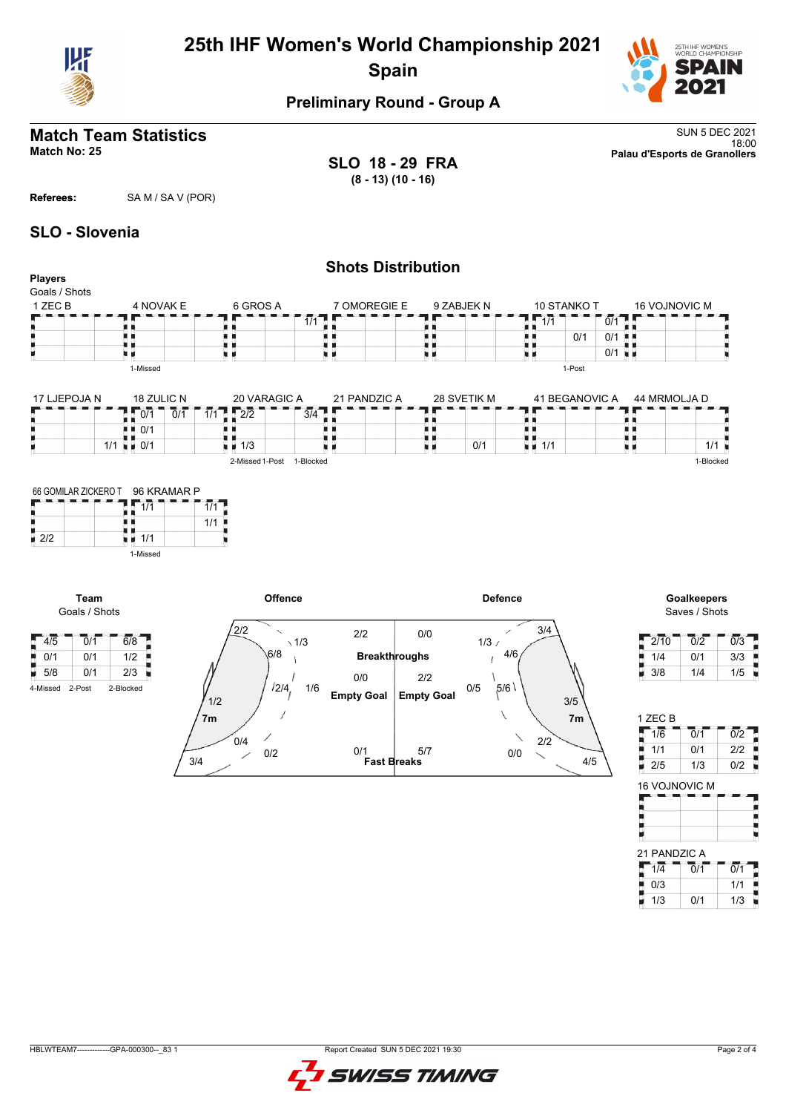

# **25th IHF Women's World Championship 2021 Spain**



# **Preliminary Round - Group A**

# **Match Team Statistics** SUN 5 DEC 2021

**SLO 18 - 29 FRA (8 - 13) (10 - 16)**

18:00 **Match No: 25 Palau d'Esports de Granollers**

**Referees:** SA M / SA V (POR)

## **SLO - Slovenia**

| <b>Players</b>                              |                          |                  |                                   |                           |                         | <b>Shots Distribution</b> |                   |                |                                          |                |                      |               |                              |                  |
|---------------------------------------------|--------------------------|------------------|-----------------------------------|---------------------------|-------------------------|---------------------------|-------------------|----------------|------------------------------------------|----------------|----------------------|---------------|------------------------------|------------------|
| Goals / Shots                               |                          |                  |                                   |                           |                         |                           |                   |                |                                          |                |                      |               |                              |                  |
| 1 ZEC B                                     | 4 NOVAK E                |                  |                                   | 6 GROS A                  |                         | 7 OMOREGIE E              |                   | 9 ZABJEK N     | 10 STANKO T                              |                |                      | 16 VOJNOVIC M |                              |                  |
|                                             |                          |                  |                                   |                           | $\overline{1/1}$        |                           |                   |                | $\frac{1}{4}$ , $\frac{1}{1/1}$          |                | 0/1                  |               |                              |                  |
|                                             | 見 目                      |                  | . .                               |                           |                         | . .                       | н н               |                | . .<br>. .                               | 0/1            | $0/1$                |               |                              |                  |
|                                             |                          |                  | u d                               |                           |                         | u 11                      | 加算                |                | uв                                       |                | $0/1$ $\blacksquare$ |               |                              |                  |
|                                             | 1-Missed                 |                  |                                   |                           |                         |                           |                   |                |                                          | 1-Post         |                      |               |                              |                  |
| 17 LJEPOJA N                                | 18 ZULIC N               |                  |                                   | 20 VARAGIC A              |                         | 21 PANDZIC A              |                   | 28 SVETIK M    | 41 BEGANOVIC A                           |                |                      | 44 MRMOLJA D  |                              |                  |
|                                             | 0/1                      | $\overline{0/1}$ | Г<br>1/1                          | $2\sqrt{2}$               | $\overline{374}$<br>. . |                           |                   |                | . .                                      |                |                      |               |                              |                  |
|                                             | $\bullet$ $\bullet$ 0/1  |                  | ш                                 |                           |                         | ш                         | ш                 |                | 真真                                       |                | . .                  |               |                              |                  |
|                                             | $1/1$ $\blacksquare$ 0/1 |                  | $\blacksquare$ $\blacksquare$ 1/3 |                           |                         |                           | 真真                | 0/1            | . .<br>$\blacksquare$ $\blacksquare$ 1/1 |                | . .<br>u u           |               | 1/1                          |                  |
|                                             |                          |                  |                                   | 2-Missed 1-Post 1-Blocked |                         |                           |                   |                |                                          |                |                      |               | 1-Blocked                    |                  |
|                                             | 1-Missed                 |                  |                                   |                           |                         |                           |                   |                |                                          |                |                      |               |                              |                  |
| Team<br>Goals / Shots                       |                          |                  |                                   | Offence                   |                         |                           |                   | <b>Defence</b> |                                          |                |                      |               | Goalkeepers<br>Saves / Shots |                  |
| $\sqrt{4/5}$<br>$\overline{0}/\overline{1}$ | $\overline{6/8}$         |                  | 2/2                               | $\checkmark$              | $\sqrt{1/3}$            | 2/2                       | 0/0               | 1/3/           | 3/4                                      |                |                      | 2/10          | 0/2                          | $\overline{0/3}$ |
| $\overline{0/1}$<br>0/1                     | 1/2                      |                  |                                   | 6/8                       |                         | <b>Breakthroughs</b>      |                   |                | 4/6                                      |                |                      | 1/4           | 0/1                          | 3/3              |
| $\overline{5/8}$<br>0/1                     | 2/3                      |                  |                                   |                           |                         | 0/0                       | 2/2               |                |                                          |                |                      | 3/8           | 1/4                          | 1/5              |
| 2-Post<br>4-Missed                          | 2-Blocked                |                  | 1/2                               | 12/4,                     | 1/6                     | <b>Empty Goal</b>         | <b>Empty Goal</b> | 0/5<br>,5/6    |                                          | 3/5            |                      |               |                              |                  |
|                                             |                          |                  | 7 <sub>m</sub>                    |                           |                         |                           |                   |                |                                          | 7 <sub>m</sub> |                      | 1 ZEC B       |                              |                  |
|                                             |                          |                  | 0/4                               |                           |                         |                           |                   |                | 2/2                                      |                |                      | 1/6           | 0/1                          | $\overline{0/2}$ |
|                                             |                          |                  |                                   | 0/2                       |                         | 0/1                       | 5/7               |                | 0/0                                      |                |                      | 1/1           | 0/1                          | 2/2              |
|                                             |                          | 3/4              |                                   |                           |                         | <b>Fast Breaks</b>        |                   |                |                                          | 4/5            |                      | 2/5           | 1/3                          | 0/2              |



٠ u

ŀ t Ū,

16 VOJNOVIC M

21 PANDZIC A 1/4 0/1 0/1  $\blacksquare$  0/3 | 1/1 1/3 0/1 1/3

**The Second Second**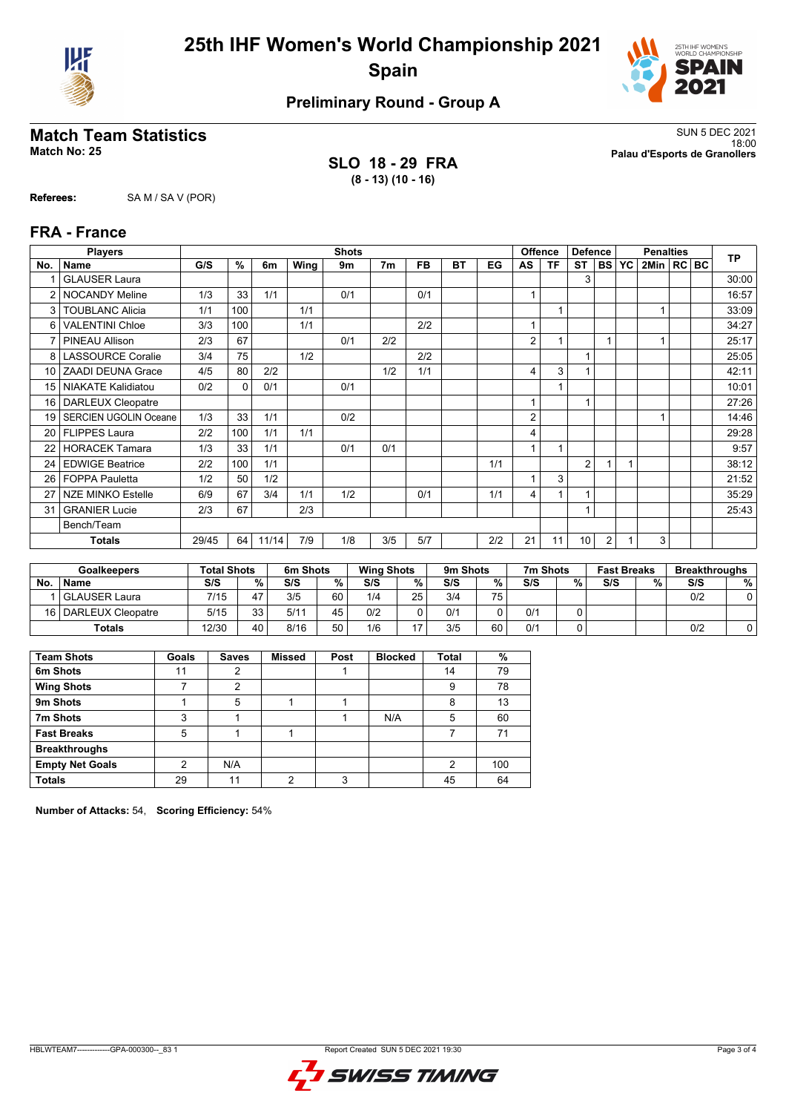



## **Preliminary Round - Group A**

**SLO 18 - 29 FRA (8 - 13) (10 - 16)**

**Match Team Statistics** SUN 5 DEC 2021 18:00 **Match No: 25 Palau d'Esports de Granollers**

**Referees:** SA M / SA V (POR)

### **FRA - France**

|                 | <b>Players</b>               |       |          |       |      | <b>Shots</b> |                |           |    |     |                          | <b>Offence</b> | <b>Defence</b> |                |           | <b>Penalties</b> |  | <b>TP</b> |
|-----------------|------------------------------|-------|----------|-------|------|--------------|----------------|-----------|----|-----|--------------------------|----------------|----------------|----------------|-----------|------------------|--|-----------|
| No.             | <b>Name</b>                  | G/S   | $\%$     | 6m    | Wing | 9m           | 7 <sub>m</sub> | <b>FB</b> | ВT | EG  | AS                       | ΤF             | ST             | <b>BS</b>      | <b>YC</b> | 2Min   RC   BC   |  |           |
|                 | <b>GLAUSER Laura</b>         |       |          |       |      |              |                |           |    |     |                          |                | 3              |                |           |                  |  | 30:00     |
| 2               | <b>NOCANDY Meline</b>        | 1/3   | 33       | 1/1   |      | 0/1          |                | 0/1       |    |     | 1                        |                |                |                |           |                  |  | 16:57     |
| 3               | <b>TOUBLANC Alicia</b>       | 1/1   | 100      |       | 1/1  |              |                |           |    |     |                          |                |                |                |           |                  |  | 33:09     |
| 6               | <b>VALENTINI Chloe</b>       | 3/3   | 100      |       | 1/1  |              |                | 2/2       |    |     | $\overline{A}$           |                |                |                |           |                  |  | 34:27     |
|                 | <b>PINEAU Allison</b>        | 2/3   | 67       |       |      | 0/1          | 2/2            |           |    |     | 2                        |                |                |                |           |                  |  | 25:17     |
| 8 <sup>1</sup>  | <b>LASSOURCE Coralie</b>     | 3/4   | 75       |       | 1/2  |              |                | 2/2       |    |     |                          |                | 1              |                |           |                  |  | 25:05     |
| 10 <sup>1</sup> | <b>ZAADI DEUNA Grace</b>     | 4/5   | 80       | 2/2   |      |              | 1/2            | 1/1       |    |     | 4                        | 3              |                |                |           |                  |  | 42:11     |
| 15 <sup>1</sup> | <b>NIAKATE Kalidiatou</b>    | 0/2   | $\Omega$ | 0/1   |      | 0/1          |                |           |    |     |                          |                |                |                |           |                  |  | 10:01     |
| 16 <sup>1</sup> | <b>DARLEUX Cleopatre</b>     |       |          |       |      |              |                |           |    |     | $\overline{\phantom{a}}$ |                | 1              |                |           |                  |  | 27:26     |
| 19              | <b>SERCIEN UGOLIN Oceane</b> | 1/3   | 33       | 1/1   |      | 0/2          |                |           |    |     | 2                        |                |                |                |           |                  |  | 14:46     |
| 20              | <b>FLIPPES Laura</b>         | 2/2   | 100      | 1/1   | 1/1  |              |                |           |    |     | 4                        |                |                |                |           |                  |  | 29:28     |
| 22              | <b>HORACEK Tamara</b>        | 1/3   | 33       | 1/1   |      | 0/1          | 0/1            |           |    |     | 1                        |                |                |                |           |                  |  | 9:57      |
| 24              | <b>EDWIGE Beatrice</b>       | 2/2   | 100      | 1/1   |      |              |                |           |    | 1/1 |                          |                | 2              |                |           |                  |  | 38:12     |
| 26 <sup>1</sup> | <b>FOPPA Pauletta</b>        | 1/2   | 50       | 1/2   |      |              |                |           |    |     |                          | 3              |                |                |           |                  |  | 21:52     |
| 27              | <b>NZE MINKO Estelle</b>     | 6/9   | 67       | 3/4   | 1/1  | 1/2          |                | 0/1       |    | 1/1 | 4                        |                | 1              |                |           |                  |  | 35:29     |
| 31              | <b>GRANIER Lucie</b>         | 2/3   | 67       |       | 2/3  |              |                |           |    |     |                          |                | 1              |                |           |                  |  | 25:43     |
|                 | Bench/Team                   |       |          |       |      |              |                |           |    |     |                          |                |                |                |           |                  |  |           |
|                 | <b>Totals</b>                | 29/45 | 64       | 11/14 | 7/9  | 1/8          | 3/5            | 5/7       |    | 2/2 | 21                       | 11             | 10             | $\overline{2}$ |           | 3                |  |           |

|           | <b>Goalkeepers</b> | <b>Total Shots</b> |    | 6m Shots |        | <b>Wing Shots</b> |    | 9m Shots |    | 7m Shots |   | <b>Fast Breaks</b> |   | <b>Breakthroughs</b> |   |
|-----------|--------------------|--------------------|----|----------|--------|-------------------|----|----------|----|----------|---|--------------------|---|----------------------|---|
| <b>No</b> | <b>Name</b>        | S/S                | %  | S/S      | $\%$ . | S/S               | %. | S/S      | %  | S/S      | % | S/S                | % | S/S                  | % |
|           | l GLAUSER Laura    | 7/15               | 47 | 3/5      | 60     | 1/4               | 25 | 3/4      | 75 |          |   |                    |   | 0/2                  |   |
| 16 I      | DARLEUX Cleopatre  | 5/15               | 33 | 5/11     | 45     | 0/2               |    | 0/1      |    | 0/1      |   |                    |   |                      |   |
|           | Totals             | 12/30              | 40 | 8/16     | 50     | 1/6               |    | 3/5      | 60 | 0/1      |   |                    |   | 0/2                  |   |

| <b>Team Shots</b>      | Goals         | <b>Saves</b> | <b>Missed</b> | Post | <b>Blocked</b> | Total         | %   |
|------------------------|---------------|--------------|---------------|------|----------------|---------------|-----|
| 6m Shots               | 11            | 2            |               |      |                | 14            | 79  |
| <b>Wing Shots</b>      |               | 2            |               |      |                | 9             | 78  |
| 9m Shots               |               | 5            |               |      |                | 8             | 13  |
| 7m Shots               | 3             |              |               |      | N/A            | 5             | 60  |
| <b>Fast Breaks</b>     | 5             |              |               |      |                |               | 71  |
| <b>Breakthroughs</b>   |               |              |               |      |                |               |     |
| <b>Empty Net Goals</b> | $\mathcal{P}$ | N/A          |               |      |                | $\mathcal{P}$ | 100 |
| <b>Totals</b>          | 29            | 11           | c             | 2    |                | 45            | 64  |

**Number of Attacks:** 54, **Scoring Efficiency:** 54%